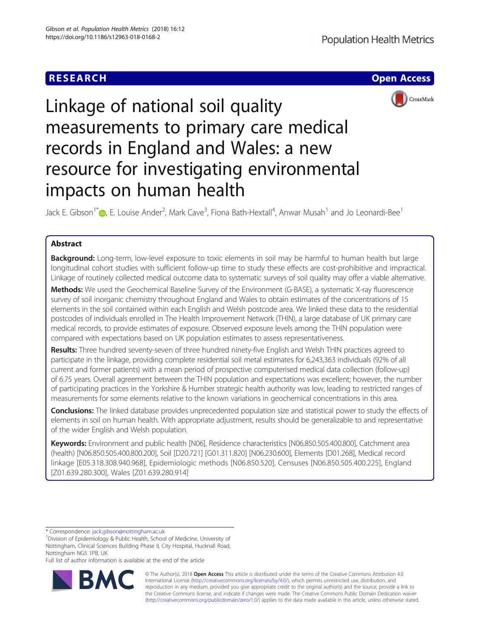



# Linkage of national soil quality measurements to primary care medical records in England and Wales: a new resource for investigating environmental impacts on human health

Jack E. Gibson<sup>1\*</sup>®, E. Louise Ander<sup>2</sup>, Mark Cave<sup>3</sup>, Fiona Bath-Hextall<sup>4</sup>, Anwar Musah<sup>1</sup> and Jo Leonardi-Bee<sup>1</sup>

# Abstract

Background: Long-term, low-level exposure to toxic elements in soil may be harmful to human health but large longitudinal cohort studies with sufficient follow-up time to study these effects are cost-prohibitive and impractical. Linkage of routinely collected medical outcome data to systematic surveys of soil quality may offer a viable alternative.

Methods: We used the Geochemical Baseline Survey of the Environment (G-BASE), a systematic X-ray fluorescence survey of soil inorganic chemistry throughout England and Wales to obtain estimates of the concentrations of 15 elements in the soil contained within each English and Welsh postcode area. We linked these data to the residential postcodes of individuals enrolled in The Health Improvement Network (THIN), a large database of UK primary care medical records, to provide estimates of exposure. Observed exposure levels among the THIN population were compared with expectations based on UK population estimates to assess representativeness.

Results: Three hundred seventy-seven of three hundred ninety-five English and Welsh THIN practices agreed to participate in the linkage, providing complete residential soil metal estimates for 6,243,363 individuals (92% of all current and former patients) with a mean period of prospective computerised medical data collection (follow-up) of 6.75 years. Overall agreement between the THIN population and expectations was excellent; however, the number of participating practices in the Yorkshire & Humber strategic health authority was low, leading to restricted ranges of measurements for some elements relative to the known variations in geochemical concentrations in this area.

**Conclusions:** The linked database provides unprecedented population size and statistical power to study the effects of elements in soil on human health. With appropriate adjustment, results should be generalizable to and representative of the wider English and Welsh population.

Keywords: Environment and public health [N06], Residence characteristics [N06.850.505.400.800], Catchment area (health) [N06.850.505.400.800.200], Soil [D20.721] [G01.311.820] [N06.230.600], Elements [D01.268], Medical record linkage [E05.318.308.940.968], Epidemiologic methods [N06.850.520], Censuses [N06.850.505.400.225], England [Z01.639.280.300], Wales [Z01.639.280.914]

\* Correspondence: [jack.gibson@nottingham.ac.uk](mailto:jack.gibson@nottingham.ac.uk) <sup>1</sup>

Full list of author information is available at the end of the article



© The Author(s). 2018 Open Access This article is distributed under the terms of the Creative Commons Attribution 4.0 International License [\(http://creativecommons.org/licenses/by/4.0/](http://creativecommons.org/licenses/by/4.0/)), which permits unrestricted use, distribution, and reproduction in any medium, provided you give appropriate credit to the original author(s) and the source, provide a link to the Creative Commons license, and indicate if changes were made. The Creative Commons Public Domain Dedication waiver [\(http://creativecommons.org/publicdomain/zero/1.0/](http://creativecommons.org/publicdomain/zero/1.0/)) applies to the data made available in this article, unless otherwise stated.

<sup>&</sup>lt;sup>1</sup> Division of Epidemiology & Public Health, School of Medicine, University of Nottingham, Clinical Sciences Building Phase II, City Hospital, Hucknall Road, Nottingham NG5 1PB, UK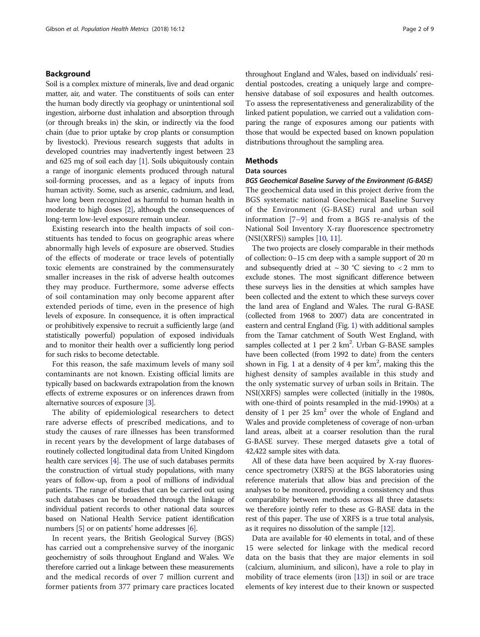# Background

Soil is a complex mixture of minerals, live and dead organic matter, air, and water. The constituents of soils can enter the human body directly via geophagy or unintentional soil ingestion, airborne dust inhalation and absorption through (or through breaks in) the skin, or indirectly via the food chain (due to prior uptake by crop plants or consumption by livestock). Previous research suggests that adults in developed countries may inadvertently ingest between 23 and 625 mg of soil each day [\[1](#page-7-0)]. Soils ubiquitously contain a range of inorganic elements produced through natural soil-forming processes, and as a legacy of inputs from human activity. Some, such as arsenic, cadmium, and lead, have long been recognized as harmful to human health in moderate to high doses [[2](#page-7-0)], although the consequences of long-term low-level exposure remain unclear.

Existing research into the health impacts of soil constituents has tended to focus on geographic areas where abnormally high levels of exposure are observed. Studies of the effects of moderate or trace levels of potentially toxic elements are constrained by the commensurately smaller increases in the risk of adverse health outcomes they may produce. Furthermore, some adverse effects of soil contamination may only become apparent after extended periods of time, even in the presence of high levels of exposure. In consequence, it is often impractical or prohibitively expensive to recruit a sufficiently large (and statistically powerful) population of exposed individuals and to monitor their health over a sufficiently long period for such risks to become detectable.

For this reason, the safe maximum levels of many soil contaminants are not known. Existing official limits are typically based on backwards extrapolation from the known effects of extreme exposures or on inferences drawn from alternative sources of exposure [\[3](#page-7-0)].

The ability of epidemiological researchers to detect rare adverse effects of prescribed medications, and to study the causes of rare illnesses has been transformed in recent years by the development of large databases of routinely collected longitudinal data from United Kingdom health care services [\[4\]](#page-7-0). The use of such databases permits the construction of virtual study populations, with many years of follow-up, from a pool of millions of individual patients. The range of studies that can be carried out using such databases can be broadened through the linkage of individual patient records to other national data sources based on National Health Service patient identification numbers  $[5]$  $[5]$  or on patients' home addresses  $[6]$  $[6]$  $[6]$ .

In recent years, the British Geological Survey (BGS) has carried out a comprehensive survey of the inorganic geochemistry of soils throughout England and Wales. We therefore carried out a linkage between these measurements and the medical records of over 7 million current and former patients from 377 primary care practices located throughout England and Wales, based on individuals' residential postcodes, creating a uniquely large and comprehensive database of soil exposures and health outcomes. To assess the representativeness and generalizability of the linked patient population, we carried out a validation comparing the range of exposures among our patients with those that would be expected based on known population distributions throughout the sampling area.

# **Methods**

# Data sources

BGS Geochemical Baseline Survey of the Environment (G-BASE) The geochemical data used in this project derive from the BGS systematic national Geochemical Baseline Survey of the Environment (G-BASE) rural and urban soil information [\[7](#page-7-0)–[9](#page-7-0)] and from a BGS re-analysis of the National Soil Inventory X-ray fluorescence spectrometry  $(NSI(XRFS))$  samples  $[10, 11]$  $[10, 11]$  $[10, 11]$  $[10, 11]$ .

The two projects are closely comparable in their methods of collection: 0–15 cm deep with a sample support of 20 m and subsequently dried at  $\sim 30$  °C sieving to  $< 2$  mm to exclude stones. The most significant difference between these surveys lies in the densities at which samples have been collected and the extent to which these surveys cover the land area of England and Wales. The rural G-BASE (collected from 1968 to 2007) data are concentrated in eastern and central England (Fig. [1\)](#page-2-0) with additional samples from the Tamar catchment of South West England, with samples collected at 1 per 2 km<sup>2</sup>. Urban G-BASE samples have been collected (from 1992 to date) from the centers shown in Fig. [1](#page-2-0) at a density of  $4$  per  $km^2$ , making this the highest density of samples available in this study and the only systematic survey of urban soils in Britain. The NSI(XRFS) samples were collected (initially in the 1980s, with one-third of points resampled in the mid-1990s) at a density of 1 per 25  $km^2$  over the whole of England and Wales and provide completeness of coverage of non-urban land areas, albeit at a coarser resolution than the rural G-BASE survey. These merged datasets give a total of 42,422 sample sites with data.

All of these data have been acquired by X-ray fluorescence spectrometry (XRFS) at the BGS laboratories using reference materials that allow bias and precision of the analyses to be monitored, providing a consistency and thus comparability between methods across all three datasets: we therefore jointly refer to these as G-BASE data in the rest of this paper. The use of XRFS is a true total analysis, as it requires no dissolution of the sample [\[12\]](#page-7-0).

Data are available for 40 elements in total, and of these 15 were selected for linkage with the medical record data on the basis that they are major elements in soil (calcium, aluminium, and silicon), have a role to play in mobility of trace elements (iron  $[13]$  $[13]$ ) in soil or are trace elements of key interest due to their known or suspected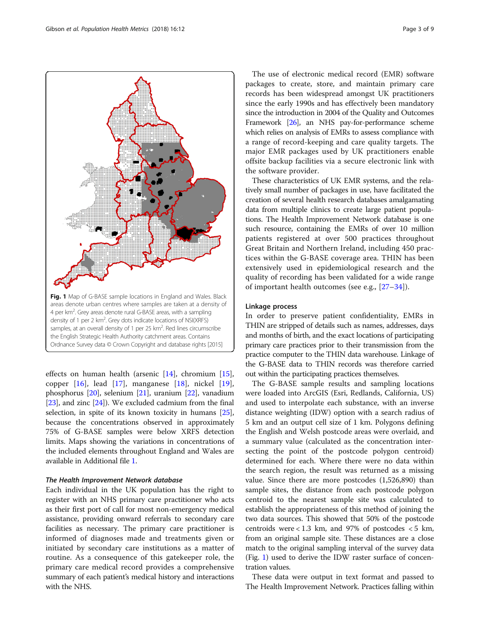<span id="page-2-0"></span>

effects on human health (arsenic [\[14\]](#page-7-0), chromium [\[15](#page-7-0)], copper  $[16]$  $[16]$ , lead  $[17]$  $[17]$ , manganese  $[18]$  $[18]$ , nickel  $[19]$  $[19]$ , phosphorus [[20](#page-7-0)], selenium [\[21](#page-7-0)], uranium [\[22](#page-7-0)], vanadium [ $23$ ], and zinc  $[24]$  $[24]$  $[24]$ ]. We excluded cadmium from the final selection, in spite of its known toxicity in humans [[25](#page-7-0)], because the concentrations observed in approximately 75% of G-BASE samples were below XRFS detection limits. Maps showing the variations in concentrations of the included elements throughout England and Wales are available in Additional file [1](#page-6-0).

#### The Health Improvement Network database

Each individual in the UK population has the right to register with an NHS primary care practitioner who acts as their first port of call for most non-emergency medical assistance, providing onward referrals to secondary care facilities as necessary. The primary care practitioner is informed of diagnoses made and treatments given or initiated by secondary care institutions as a matter of routine. As a consequence of this gatekeeper role, the primary care medical record provides a comprehensive summary of each patient's medical history and interactions with the NHS.

The use of electronic medical record (EMR) software packages to create, store, and maintain primary care records has been widespread amongst UK practitioners since the early 1990s and has effectively been mandatory since the introduction in 2004 of the Quality and Outcomes Framework [\[26](#page-8-0)], an NHS pay-for-performance scheme which relies on analysis of EMRs to assess compliance with a range of record-keeping and care quality targets. The major EMR packages used by UK practitioners enable offsite backup facilities via a secure electronic link with the software provider.

These characteristics of UK EMR systems, and the relatively small number of packages in use, have facilitated the creation of several health research databases amalgamating data from multiple clinics to create large patient populations. The Health Improvement Network database is one such resource, containing the EMRs of over 10 million patients registered at over 500 practices throughout Great Britain and Northern Ireland, including 450 practices within the G-BASE coverage area. THIN has been extensively used in epidemiological research and the quality of recording has been validated for a wide range of important health outcomes (see e.g., [\[27](#page-8-0)–[34\]](#page-8-0)).

#### Linkage process

In order to preserve patient confidentiality, EMRs in THIN are stripped of details such as names, addresses, days and months of birth, and the exact locations of participating primary care practices prior to their transmission from the practice computer to the THIN data warehouse. Linkage of the G-BASE data to THIN records was therefore carried out within the participating practices themselves.

The G-BASE sample results and sampling locations were loaded into ArcGIS (Esri, Redlands, California, US) and used to interpolate each substance, with an inverse distance weighting (IDW) option with a search radius of 5 km and an output cell size of 1 km. Polygons defining the English and Welsh postcode areas were overlaid, and a summary value (calculated as the concentration intersecting the point of the postcode polygon centroid) determined for each. Where there were no data within the search region, the result was returned as a missing value. Since there are more postcodes (1,526,890) than sample sites, the distance from each postcode polygon centroid to the nearest sample site was calculated to establish the appropriateness of this method of joining the two data sources. This showed that 50% of the postcode centroids were < 1.3 km, and 97% of postcodes < 5 km, from an original sample site. These distances are a close match to the original sampling interval of the survey data (Fig. 1) used to derive the IDW raster surface of concentration values.

These data were output in text format and passed to The Health Improvement Network. Practices falling within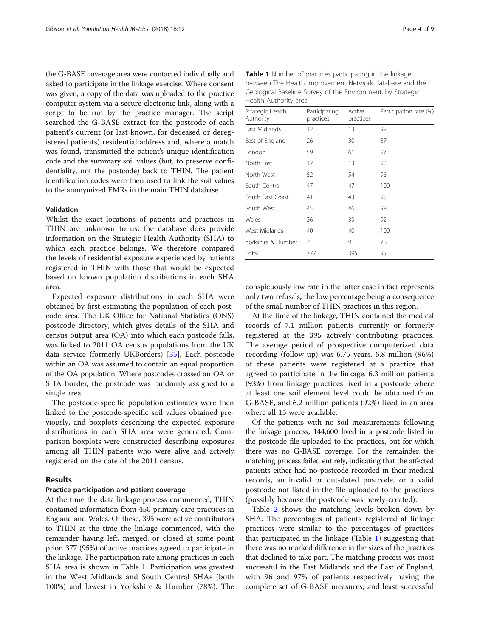the G-BASE coverage area were contacted individually and asked to participate in the linkage exercise. Where consent was given, a copy of the data was uploaded to the practice computer system via a secure electronic link, along with a script to be run by the practice manager. The script searched the G-BASE extract for the postcode of each patient's current (or last known, for deceased or deregistered patients) residential address and, where a match was found, transmitted the patient's unique identification code and the summary soil values (but, to preserve confidentiality, not the postcode) back to THIN. The patient identification codes were then used to link the soil values to the anonymized EMRs in the main THIN database.

#### Validation

Whilst the exact locations of patients and practices in THIN are unknown to us, the database does provide information on the Strategic Health Authority (SHA) to which each practice belongs. We therefore compared the levels of residential exposure experienced by patients registered in THIN with those that would be expected based on known population distributions in each SHA area.

Expected exposure distributions in each SHA were obtained by first estimating the population of each postcode area. The UK Office for National Statistics (ONS) postcode directory, which gives details of the SHA and census output area (OA) into which each postcode falls, was linked to 2011 OA census populations from the UK data service (formerly UKBorders) [\[35\]](#page-8-0). Each postcode within an OA was assumed to contain an equal proportion of the OA population. Where postcodes crossed an OA or SHA border, the postcode was randomly assigned to a single area.

The postcode-specific population estimates were then linked to the postcode-specific soil values obtained previously, and boxplots describing the expected exposure distributions in each SHA area were generated. Comparison boxplots were constructed describing exposures among all THIN patients who were alive and actively registered on the date of the 2011 census.

# Results

#### Practice participation and patient coverage

At the time the data linkage process commenced, THIN contained information from 450 primary care practices in England and Wales. Of these, 395 were active contributors to THIN at the time the linkage commenced, with the remainder having left, merged, or closed at some point prior. 377 (95%) of active practices agreed to participate in the linkage. The participation rate among practices in each SHA area is shown in Table 1. Participation was greatest in the West Midlands and South Central SHAs (both 100%) and lowest in Yorkshire & Humber (78%). The

| Strategic Health<br>Authority | Participating<br>practices | Active<br>practices | Participation rate (%) |
|-------------------------------|----------------------------|---------------------|------------------------|
| <b>Fast Midlands</b>          | 12                         | 13                  | 92                     |
| East of England               | 26                         | 30                  | 87                     |
| London                        | 59                         | 61                  | 97                     |
| North Fast                    | 12                         | 13                  | 92                     |
| North West                    | 52                         | 54                  | 96                     |
| South Central                 | 47                         | 47                  | 100                    |
| South East Coast              | 41                         | 43                  | 95                     |
| South West                    | 45                         | 46                  | 98                     |
| Wales                         | 36                         | 39                  | 92                     |
| West Midlands                 | 40                         | 40                  | 100                    |
| Yorkshire & Humber            | 7                          | 9                   | 78                     |
| Total                         | 377                        | 395                 | 95                     |

Table 1 Number of practices participating in the linkage between The Health Improvement Network database and the Geological Baseline Survey of the Environment, by Strategic Health Authority area

conspicuously low rate in the latter case in fact represents only two refusals, the low percentage being a consequence of the small number of THIN practices in this region.

At the time of the linkage, THIN contained the medical records of 7.1 million patients currently or formerly registered at the 395 actively contributing practices. The average period of prospective computerized data recording (follow-up) was 6.75 years. 6.8 million (96%) of these patients were registered at a practice that agreed to participate in the linkage. 6.3 million patients (93%) from linkage practices lived in a postcode where at least one soil element level could be obtained from G-BASE, and 6.2 million patients (92%) lived in an area where all 15 were available.

Of the patients with no soil measurements following the linkage process, 144,600 lived in a postcode listed in the postcode file uploaded to the practices, but for which there was no G-BASE coverage. For the remainder, the matching process failed entirely, indicating that the affected patients either had no postcode recorded in their medical records, an invalid or out-dated postcode, or a valid postcode not listed in the file uploaded to the practices (possibly because the postcode was newly-created).

Table [2](#page-4-0) shows the matching levels broken down by SHA. The percentages of patients registered at linkage practices were similar to the percentages of practices that participated in the linkage (Table 1) suggesting that there was no marked difference in the sizes of the practices that declined to take part. The matching process was most successful in the East Midlands and the East of England, with 96 and 97% of patients respectively having the complete set of G-BASE measures, and least successful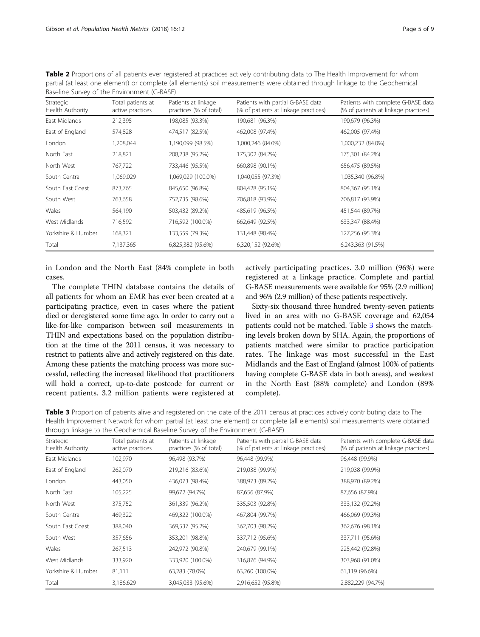| Baseline Survey of the Environment (G-BASE) |                                       |                                               |                                                                           |                                                                            |  |  |
|---------------------------------------------|---------------------------------------|-----------------------------------------------|---------------------------------------------------------------------------|----------------------------------------------------------------------------|--|--|
| Strategic<br>Health Authority               | Total patients at<br>active practices | Patients at linkage<br>practices (% of total) | Patients with partial G-BASE data<br>(% of patients at linkage practices) | Patients with complete G-BASE data<br>(% of patients at linkage practices) |  |  |
| East Midlands                               | 212,395                               | 198,085 (93.3%)                               | 190,681 (96.3%)                                                           | 190,679 (96.3%)                                                            |  |  |
| East of England                             | 574,828                               | 474,517 (82.5%)                               | 462,008 (97.4%)                                                           | 462,005 (97.4%)                                                            |  |  |
| London                                      | 1,208,044                             | 1,190,099 (98.5%)                             | 1,000,246 (84.0%)                                                         | 1,000,232 (84.0%)                                                          |  |  |
| North East                                  | 218,821                               | 208,238 (95.2%)                               | 175,302 (84.2%)                                                           | 175,301 (84.2%)                                                            |  |  |
| North West                                  | 767,722                               | 733,446 (95.5%)                               | 660,898 (90.1%)                                                           | 656,475 (89.5%)                                                            |  |  |
| South Central                               | 1,069,029                             | 1,069,029 (100.0%)                            | 1,040,055 (97.3%)                                                         | 1,035,340 (96.8%)                                                          |  |  |
| South East Coast                            | 873,765                               | 845,650 (96.8%)                               | 804,428 (95.1%)                                                           | 804,367 (95.1%)                                                            |  |  |
| South West                                  | 763,658                               | 752,735 (98.6%)                               | 706,818 (93.9%)                                                           | 706,817 (93.9%)                                                            |  |  |
| Wales                                       | 564,190                               | 503,432 (89.2%)                               | 485,619 (96.5%)                                                           | 451,544 (89.7%)                                                            |  |  |
| West Midlands                               | 716,592                               | 716,592 (100.0%)                              | 662,649 (92.5%)                                                           | 633,347 (88.4%)                                                            |  |  |
| Yorkshire & Humber                          | 168,321                               | 133,559 (79.3%)                               | 131,448 (98.4%)                                                           | 127,256 (95.3%)                                                            |  |  |
| Total                                       | 7,137,365                             | 6,825,382 (95.6%)                             | 6,320,152 (92.6%)                                                         | 6,243,363 (91.5%)                                                          |  |  |

<span id="page-4-0"></span>Table 2 Proportions of all patients ever registered at practices actively contributing data to The Health Improvement for whom partial (at least one element) or complete (all elements) soil measurements were obtained through linkage to the Geochemical

in London and the North East (84% complete in both cases.

The complete THIN database contains the details of all patients for whom an EMR has ever been created at a participating practice, even in cases where the patient died or deregistered some time ago. In order to carry out a like-for-like comparison between soil measurements in THIN and expectations based on the population distribution at the time of the 2011 census, it was necessary to restrict to patients alive and actively registered on this date. Among these patients the matching process was more successful, reflecting the increased likelihood that practitioners will hold a correct, up-to-date postcode for current or recent patients. 3.2 million patients were registered at

actively participating practices. 3.0 million (96%) were registered at a linkage practice. Complete and partial G-BASE measurements were available for 95% (2.9 million) and 96% (2.9 million) of these patients respectively.

Sixty-six thousand three hundred twenty-seven patients lived in an area with no G-BASE coverage and 62,054 patients could not be matched. Table 3 shows the matching levels broken down by SHA. Again, the proportions of patients matched were similar to practice participation rates. The linkage was most successful in the East Midlands and the East of England (almost 100% of patients having complete G-BASE data in both areas), and weakest in the North East (88% complete) and London (89% complete).

Table 3 Proportion of patients alive and registered on the date of the 2011 census at practices actively contributing data to The Health Improvement Network for whom partial (at least one element) or complete (all elements) soil measurements were obtained through linkage to the Geochemical Baseline Survey of the Environment (G-BASE)

| Strategic<br>Health Authority | Total patients at<br>active practices | Patients at linkage<br>practices (% of total) | Patients with partial G-BASE data<br>(% of patients at linkage practices) | Patients with complete G-BASE data<br>(% of patients at linkage practices) |
|-------------------------------|---------------------------------------|-----------------------------------------------|---------------------------------------------------------------------------|----------------------------------------------------------------------------|
| East Midlands                 | 102,970                               | 96,498 (93.7%)                                | 96,448 (99.9%)                                                            | 96,448 (99.9%)                                                             |
| East of England               | 262,070                               | 219,216 (83.6%)                               | 219,038 (99.9%)                                                           | 219,038 (99.9%)                                                            |
| London                        | 443,050                               | 436,073 (98.4%)                               | 388,973 (89.2%)                                                           | 388,970 (89.2%)                                                            |
| North East                    | 105,225                               | 99,672 (94.7%)                                | 87,656 (87.9%)                                                            | 87,656 (87.9%)                                                             |
| North West                    | 375,752                               | 361,339 (96.2%)                               | 335,503 (92.8%)                                                           | 333,132 (92.2%)                                                            |
| South Central                 | 469,322                               | 469,322 (100.0%)                              | 467,804 (99.7%)                                                           | 466,069 (99.3%)                                                            |
| South East Coast              | 388,040                               | 369,537 (95.2%)                               | 362,703 (98.2%)                                                           | 362,676 (98.1%)                                                            |
| South West                    | 357,656                               | 353,201 (98.8%)                               | 337,712 (95.6%)                                                           | 337,711 (95.6%)                                                            |
| Wales                         | 267,513                               | 242,972 (90.8%)                               | 240,679 (99.1%)                                                           | 225,442 (92.8%)                                                            |
| West Midlands                 | 333,920                               | 333,920 (100.0%)                              | 316,876 (94.9%)                                                           | 303,968 (91.0%)                                                            |
| Yorkshire & Humber            | 81,111                                | 63,283 (78.0%)                                | 63,260 (100.0%)                                                           | 61,119 (96.6%)                                                             |
| Total                         | 3,186,629                             | 3,045,033 (95.6%)                             | 2,916,652 (95.8%)                                                         | 2,882,229 (94.7%)                                                          |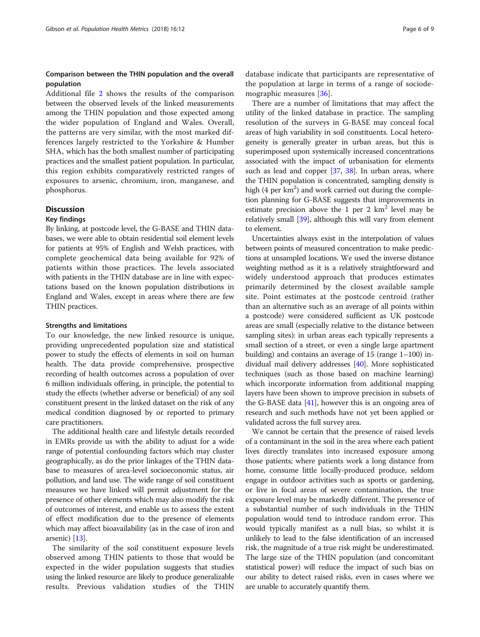# Comparison between the THIN population and the overall population

Additional file [2](#page-7-0) shows the results of the comparison between the observed levels of the linked measurements among the THIN population and those expected among the wider population of England and Wales. Overall, the patterns are very similar, with the most marked differences largely restricted to the Yorkshire & Humber SHA, which has the both smallest number of participating practices and the smallest patient population. In particular, this region exhibits comparatively restricted ranges of exposures to arsenic, chromium, iron, manganese, and phosphorus.

### **Discussion**

# Key findings

By linking, at postcode level, the G-BASE and THIN databases, we were able to obtain residential soil element levels for patients at 95% of English and Welsh practices, with complete geochemical data being available for 92% of patients within those practices. The levels associated with patients in the THIN database are in line with expectations based on the known population distributions in England and Wales, except in areas where there are few THIN practices.

#### Strengths and limitations

To our knowledge, the new linked resource is unique, providing unprecedented population size and statistical power to study the effects of elements in soil on human health. The data provide comprehensive, prospective recording of health outcomes across a population of over 6 million individuals offering, in principle, the potential to study the effects (whether adverse or beneficial) of any soil constituent present in the linked dataset on the risk of any medical condition diagnosed by or reported to primary care practitioners.

The additional health care and lifestyle details recorded in EMRs provide us with the ability to adjust for a wide range of potential confounding factors which may cluster geographically, as do the prior linkages of the THIN database to measures of area-level socioeconomic status, air pollution, and land use. The wide range of soil constituent measures we have linked will permit adjustment for the presence of other elements which may also modify the risk of outcomes of interest, and enable us to assess the extent of effect modification due to the presence of elements which may affect bioavailability (as in the case of iron and arsenic) [\[13](#page-7-0)].

The similarity of the soil constituent exposure levels observed among THIN patients to those that would be expected in the wider population suggests that studies using the linked resource are likely to produce generalizable results. Previous validation studies of the THIN

database indicate that participants are representative of the population at large in terms of a range of sociodemographic measures [[36\]](#page-8-0).

There are a number of limitations that may affect the utility of the linked database in practice. The sampling resolution of the surveys in G-BASE may conceal focal areas of high variability in soil constituents. Local heterogeneity is generally greater in urban areas, but this is superimposed upon systemically increased concentrations associated with the impact of urbanisation for elements such as lead and copper [\[37,](#page-8-0) [38](#page-8-0)]. In urban areas, where the THIN population is concentrated, sampling density is high (4 per km<sup>2</sup>) and work carried out during the completion planning for G-BASE suggests that improvements in estimate precision above the 1 per 2  $km<sup>2</sup>$  level may be relatively small [\[39](#page-8-0)], although this will vary from element to element.

Uncertainties always exist in the interpolation of values between points of measured concentration to make predictions at unsampled locations. We used the inverse distance weighting method as it is a relatively straightforward and widely understood approach that produces estimates primarily determined by the closest available sample site. Point estimates at the postcode centroid (rather than an alternative such as an average of all points within a postcode) were considered sufficient as UK postcode areas are small (especially relative to the distance between sampling sites): in urban areas each typically represents a small section of a street, or even a single large apartment building) and contains an average of 15 (range 1–100) individual mail delivery addresses [[40](#page-8-0)]. More sophisticated techniques (such as those based on machine learning) which incorporate information from additional mapping layers have been shown to improve precision in subsets of the G-BASE data  $[41]$  $[41]$  $[41]$ , however this is an ongoing area of research and such methods have not yet been applied or validated across the full survey area.

We cannot be certain that the presence of raised levels of a contaminant in the soil in the area where each patient lives directly translates into increased exposure among those patients; where patients work a long distance from home, consume little locally-produced produce, seldom engage in outdoor activities such as sports or gardening, or live in focal areas of severe contamination, the true exposure level may be markedly different. The presence of a substantial number of such individuals in the THIN population would tend to introduce random error. This would typically manifest as a null bias, so whilst it is unlikely to lead to the false identification of an increased risk, the magnitude of a true risk might be underestimated. The large size of the THIN population (and concomitant statistical power) will reduce the impact of such bias on our ability to detect raised risks, even in cases where we are unable to accurately quantify them.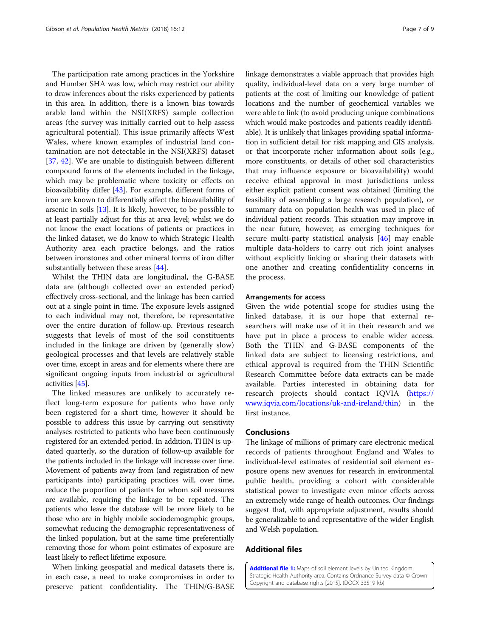<span id="page-6-0"></span>The participation rate among practices in the Yorkshire and Humber SHA was low, which may restrict our ability to draw inferences about the risks experienced by patients in this area. In addition, there is a known bias towards arable land within the NSI(XRFS) sample collection areas (the survey was initially carried out to help assess agricultural potential). This issue primarily affects West Wales, where known examples of industrial land contamination are not detectable in the NSI(XRFS) dataset [[37,](#page-8-0) [42](#page-8-0)]. We are unable to distinguish between different compound forms of the elements included in the linkage, which may be problematic where toxicity or effects on bioavailability differ [[43\]](#page-8-0). For example, different forms of iron are known to differentially affect the bioavailability of arsenic in soils  $[13]$  $[13]$ . It is likely, however, to be possible to at least partially adjust for this at area level; whilst we do not know the exact locations of patients or practices in the linked dataset, we do know to which Strategic Health Authority area each practice belongs, and the ratios between ironstones and other mineral forms of iron differ substantially between these areas [[44](#page-8-0)].

Whilst the THIN data are longitudinal, the G-BASE data are (although collected over an extended period) effectively cross-sectional, and the linkage has been carried out at a single point in time. The exposure levels assigned to each individual may not, therefore, be representative over the entire duration of follow-up. Previous research suggests that levels of most of the soil constituents included in the linkage are driven by (generally slow) geological processes and that levels are relatively stable over time, except in areas and for elements where there are significant ongoing inputs from industrial or agricultural activities [\[45\]](#page-8-0).

The linked measures are unlikely to accurately reflect long-term exposure for patients who have only been registered for a short time, however it should be possible to address this issue by carrying out sensitivity analyses restricted to patients who have been continuously registered for an extended period. In addition, THIN is updated quarterly, so the duration of follow-up available for the patients included in the linkage will increase over time. Movement of patients away from (and registration of new participants into) participating practices will, over time, reduce the proportion of patients for whom soil measures are available, requiring the linkage to be repeated. The patients who leave the database will be more likely to be those who are in highly mobile sociodemographic groups, somewhat reducing the demographic representativeness of the linked population, but at the same time preferentially removing those for whom point estimates of exposure are least likely to reflect lifetime exposure.

When linking geospatial and medical datasets there is, in each case, a need to make compromises in order to preserve patient confidentiality. The THIN/G-BASE linkage demonstrates a viable approach that provides high quality, individual-level data on a very large number of patients at the cost of limiting our knowledge of patient locations and the number of geochemical variables we were able to link (to avoid producing unique combinations which would make postcodes and patients readily identifiable). It is unlikely that linkages providing spatial information in sufficient detail for risk mapping and GIS analysis, or that incorporate richer information about soils (e.g., more constituents, or details of other soil characteristics that may influence exposure or bioavailability) would receive ethical approval in most jurisdictions unless either explicit patient consent was obtained (limiting the feasibility of assembling a large research population), or summary data on population health was used in place of individual patient records. This situation may improve in the near future, however, as emerging techniques for secure multi-party statistical analysis [[46\]](#page-8-0) may enable multiple data-holders to carry out rich joint analyses without explicitly linking or sharing their datasets with one another and creating confidentiality concerns in the process.

#### Arrangements for access

Given the wide potential scope for studies using the linked database, it is our hope that external researchers will make use of it in their research and we have put in place a process to enable wider access. Both the THIN and G-BASE components of the linked data are subject to licensing restrictions, and ethical approval is required from the THIN Scientific Research Committee before data extracts can be made available. Parties interested in obtaining data for research projects should contact IQVIA ([https://](https://www.iqvia.com/locations/uk-and-ireland/thin) [www.iqvia.com/locations/uk-and-ireland/thin\)](https://www.iqvia.com/locations/uk-and-ireland/thin) in the first instance.

#### Conclusions

The linkage of millions of primary care electronic medical records of patients throughout England and Wales to individual-level estimates of residential soil element exposure opens new avenues for research in environmental public health, providing a cohort with considerable statistical power to investigate even minor effects across an extremely wide range of health outcomes. Our findings suggest that, with appropriate adjustment, results should be generalizable to and representative of the wider English and Welsh population.

# Additional files

[Additional file 1:](https://doi.org/10.1186/s12963-018-0168-2) Maps of soil element levels by United Kingdom Strategic Health Authority area. Contains Ordnance Survey data © Crown Copyright and database rights [2015]. (DOCX 33519 kb)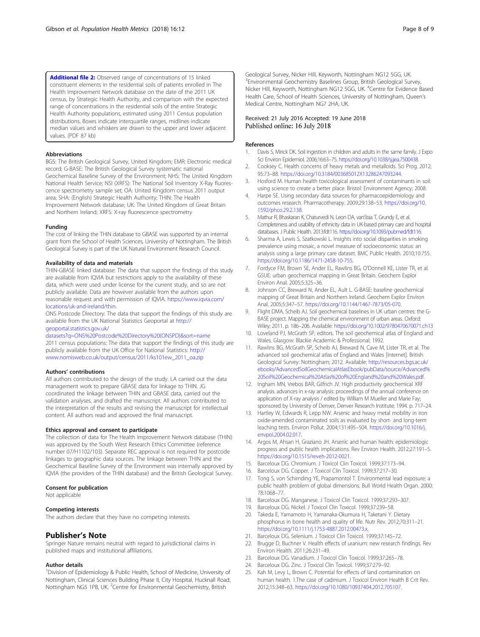<span id="page-7-0"></span>[Additional file 2:](https://doi.org/10.1186/s12963-018-0168-2) Observed range of concentrations of 15 linked constituent elements in the residential soils of patients enrolled in The Health Improvement Network database on the date of the 2011 UK census, by Strategic Health Authority, and comparison with the expected range of concentrations in the residential soils of the entire Strategic Health Authority populations, estimated using 2011 Census population distributions. Boxes indicate interquartile ranges, midlines indicate median values and whiskers are drawn to the upper and lower adjacent values. (PDF 87 kb)

#### Abbreviations

BGS: The British Geological Survey, United Kingdom; EMR: Electronic medical record; G-BASE: The British Geological Survey systematic national Geochemical Baseline Survey of the Environment; NHS: The United Kingdom National Health Service; NSI (XRFS): The National Soil Inventory X-Ray fluorescence spectrometry sample set; OA: United Kingdom census 2011 output area; SHA: (English) Strategic Health Authority; THIN: The Health Improvement Network database; UK: The United Kingdom of Great Britain and Northern Ireland; XRFS: X-ray fluorescence spectrometry

#### Funding

The cost of linking the THIN database to GBASE was supported by an internal grant from the School of Health Sciences, University of Nottingham. The British Geological Survey is part of the UK Natural Environment Research Council.

#### Availability of data and materials

THIN-GBASE linked database: The data that support the findings of this study are available from IQVIA but restrictions apply to the availability of these data, which were used under license for the current study, and so are not publicly available. Data are however available from the authors upon reasonable request and with permission of IQVIA. [https://www.iqvia.com/](https://www.iqvia.com/locations/uk-and-ireland/thin) [locations/uk-and-ireland/thin.](https://www.iqvia.com/locations/uk-and-ireland/thin)

ONS Postcode Directory: The data that support the findings of this study are available from the UK National Statistics Geoportal at [http://](http://geoportal.statistics.gov.uk/datasets?q=ONS%20Postcode%20Directory%20(ONSPD)&sort=name) [geoportal.statistics.gov.uk/](http://geoportal.statistics.gov.uk/datasets?q=ONS%20Postcode%20Directory%20(ONSPD)&sort=name)

[datasets?q=ONS%20Postcode%20Directory%20\(ONSPD\)&sort=name](http://geoportal.statistics.gov.uk/datasets?q=ONS%20Postcode%20Directory%20(ONSPD)&sort=name) 2011 census populations: The data that support the findings of this study are publicly available from the UK Office for National Statistics: [http://](http://www.nomisweb.co.uk/output/census/2011/ks101ew_2011_oa.zip) [www.nomisweb.co.uk/output/census/2011/ks101ew\\_2011\\_oa.zip](http://www.nomisweb.co.uk/output/census/2011/ks101ew_2011_oa.zip)

#### Authors' contributions

All authors contributed to the design of the study. LA carried out the data management work to prepare GBASE data for linkage to THIN. JG coordinated the linkage between THIN and GBASE data, carried out the validation analyses, and drafted the manuscript. All authors contributed to the interpretation of the results and revising the manuscript for intellectual content. All authors read and approved the final manuscript.

#### Ethics approval and consent to participate

The collection of data for The Health Improvement Network database (THIN) was approved by the South West Research Ethics Committee (reference number 07/H1102/103). Separate REC approval is not required for postcode linkages to geographic data sources. The linkage between THIN and the Geochemical Baseline Survey of the Environment was internally approved by IQVIA (the providers of the THIN database) and the British Geological Survey.

#### Consent for publication

Not applicable

#### Competing interests

The authors declare that they have no competing interests.

### Publisher's Note

Springer Nature remains neutral with regard to jurisdictional claims in published maps and institutional affiliations.

#### Author details

<sup>1</sup> Division of Epidemiology & Public Health, School of Medicine, University of Nottingham, Clinical Sciences Building Phase II, City Hospital, Hucknall Road, Nottingham NG5 1PB, UK. <sup>2</sup>Centre for Environmental Geochemistry, British

Geological Survey, Nicker Hill, Keyworth, Nottingham NG12 5GG, UK. <sup>3</sup> Environmental Geochemistry Baselines Group, British Geological Survey, Nicker Hill, Keyworth, Nottingham NG12 5GG, UK. <sup>4</sup>Centre for Evidence Based Health Care, School of Health Sciences, University of Nottingham, Queen's Medical Centre, Nottingham NG7 2HA, UK.

#### Received: 21 July 2016 Accepted: 19 June 2018 Published online: 16 July 2018

#### References

- Davis S, Mirick DK. Soil ingestion in children and adults in the same family. J Expo Sci Environ Epidemiol. 2006;16:63–75. [https://doi.org/10.1038/sj.jea.7500438.](https://doi.org/10.1038/sj.jea.7500438)
- 2. Cooksey C. Health concerns of heavy metals and metalloids. Sci Prog. 2012; 95:73–88. [https://doi.org/10.3184/003685012X13286247093244.](https://doi.org/10.3184/003685012X13286247093244)
- 3. Hosford M. Human health toxicological assessment of contaminants in soil: using science to create a better place. Bristol: Environment Agency; 2008.
- 4. Harpe SE. Using secondary data sources for pharmacoepidemiology and outcomes research. Pharmacotherapy. 2009;29:138–53. [https://doi.org/10.](https://doi.org/10.1592/phco.29.2.138) [1592/phco.29.2.138](https://doi.org/10.1592/phco.29.2.138).
- 5. Mathur R, Bhaskaran K, Chaturvedi N, Leon DA, vanStaa T, Grundy E, et al. Completeness and usability of ethnicity data in UK-based primary care and hospital databases. J Public Health. 2013:fdt116. <https://doi.org/10.1093/pubmed/fdt116>.
- 6. Sharma A, Lewis S, Szatkowski L. Insights into social disparities in smoking prevalence using mosaic, a novel measure of socioeconomic status: an analysis using a large primary care dataset. BMC Public Health. 2010;10:755. [https://doi.org/10.1186/1471-2458-10-755.](https://doi.org/10.1186/1471-2458-10-755)
- 7. Fordyce FM, Brown SE, Ander EL, Rawlins BG, O'Donnell KE, Lister TR, et al. GSUE: urban geochemical mapping in Great Britain. Geochem Explor Environ Anal. 2005;5:325–36.
- 8. Johnson CC, Breward N, Ander EL, Ault L. G-BASE: baseline geochemical mapping of Great Britain and Northern Ireland. Geochem Explor Environ Anal. 2005;5:347–57. <https://doi.org/10.1144/1467-7873/05-070>.
- 9. Flight DMA, Scheib AJ. Soil geochemical baselines in UK urban centres: the G-BASE project. Mapping the chemical environment of urban areas. Oxford: Wiley; 2011. p. 186–206. Available: <https://doi.org/10.1002/9780470670071.ch13>
- 10. Loveland PJ, McGrath SP, editors. The soil geochemical atlas of England and Wales. Glasgow: Blackie Academic & Professional; 1992.
- 11. Rawlins BG, McGrath SP, Scheib AJ, Breward N, Cave M, Lister TR, et al. The advanced soil geochemical atlas of England and Wales [Internet]. British Geological Survey: Nottingham; 2012. Available: [http://resources.bgs.ac.uk/](http://resources.bgs.ac.uk/ebooks/AdvancedSoilGeochemicalAtlasEbook/pubData/source/Advanced%20Soil%20Geochemical%20Atlas%20of%20England%20and%20Wales.pdf) [ebooks/AdvancedSoilGeochemicalAtlasEbook/pubData/source/Advanced%](http://resources.bgs.ac.uk/ebooks/AdvancedSoilGeochemicalAtlasEbook/pubData/source/Advanced%20Soil%20Geochemical%20Atlas%20of%20England%20and%20Wales.pdf) [20Soil%20Geochemical%20Atlas%20of%20England%20and%20Wales.pdf](http://resources.bgs.ac.uk/ebooks/AdvancedSoilGeochemicalAtlasEbook/pubData/source/Advanced%20Soil%20Geochemical%20Atlas%20of%20England%20and%20Wales.pdf).
- 12. Ingham MN, Vrebos BAR, Gilfrich JV. High productivity geochemical XRF analysis. advances in x-ray analysis: proceedings of the annual conference on application of X-ray analysis / edited by William M Mueller and Marie Fay; sponsored by University of Denver, Denver Research Institute; 1994. p. 717–24.
- 13. Hartley W, Edwards R, Lepp NW. Arsenic and heavy metal mobility in iron oxide-amended contaminated soils as evaluated by short- and long-term leaching tests. Environ Pollut. 2004;131:495–504. [https://doi.org/10.1016/j.](https://doi.org/10.1016/j.envpol.2004.02.017) [envpol.2004.02.017](https://doi.org/10.1016/j.envpol.2004.02.017).
- 14. Argos M, Ahsan H, Graziano JH. Arsenic and human health: epidemiologic progress and public health implications. Rev Environ Health. 2012;27:191–5. <https://doi.org/10.1515/reveh-2012-0021>.
- 15. Barceloux DG. Chromium. J Toxicol Clin Toxicol. 1999;37:173–94.
- 16. Barceloux DG. Copper. J Toxicol Clin Toxicol. 1999;37:217–30.
- 17. Tong S, von Schirnding YE, Prapamontol T. Environmental lead exposure: a public health problem of global dimensions. Bull World Health Organ. 2000; 78:1068–77.
- 18. Barceloux DG. Manganese. J Toxicol Clin Toxicol. 1999;37:293–307.
- 19. Barceloux DG. Nickel. J Toxicol Clin Toxicol. 1999;37:239–58.
- 20. Takeda E, Yamamoto H, Yamanaka-Okumura H, Taketani Y. Dietary phosphorus in bone health and quality of life. Nutr Rev. 2012;70:311–21. <https://doi.org/10.1111/j.1753-4887.2012.00473.x>.
- 21. Barceloux DG. Selenium. J Toxicol Clin Toxicol. 1999;37:145–72.
- 22. Brugge D, Buchner V. Health effects of uranium: new research findings. Rev Environ Health. 2011;26:231–49.
- 23. Barceloux DG. Vanadium. J Toxicol Clin Toxicol. 1999;37:265–78.
- 24. Barceloux DG. Zinc. J Toxicol Clin Toxicol. 1999;37:279–92.
- 25. Kah M, Levy L, Brown C. Potential for effects of land contamination on human health. 1.The case of cadmium. J Toxicol Environ Health B Crit Rev. 2012;15:348–63. [https://doi.org/10.1080/10937404.2012.705107.](https://doi.org/10.1080/10937404.2012.705107)